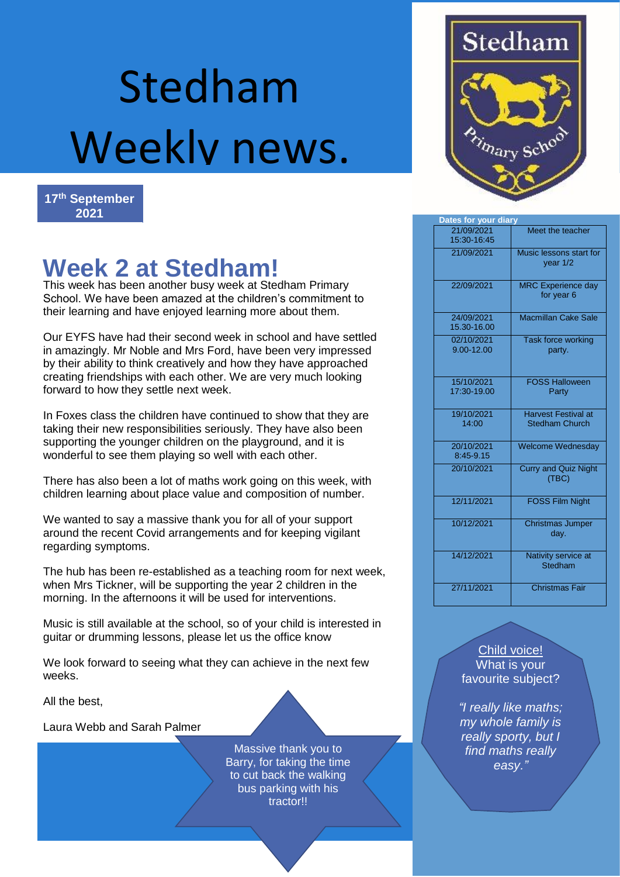# Stedham Weekly news.



## **Week 2 at Stedham!**

This week has been another busy week at Stedham Primary School. We have been amazed at the children's commitment to their learning and have enjoyed learning more about them.

Our EYFS have had their second week in school and have settled in amazingly. Mr Noble and Mrs Ford, have been very impressed by their ability to think creatively and how they have approached creating friendships with each other. We are very much looking forward to how they settle next week.

In Foxes class the children have continued to show that they are taking their new responsibilities seriously. They have also been supporting the younger children on the playground, and it is wonderful to see them playing so well with each other.

There has also been a lot of maths work going on this week, with children learning about place value and composition of number.

We wanted to say a massive thank you for all of your support around the recent Covid arrangements and for keeping vigilant regarding symptoms.

The hub has been re-established as a teaching room for next week, when Mrs Tickner, will be supporting the year 2 children in the morning. In the afternoons it will be used for interventions.

Music is still available at the school, so of your child is interested in guitar or drumming lessons, please let us the office know

We look forward to seeing what they can achieve in the next few weeks.

All the best,

Laura Webb and Sarah Palmer

Massive thank you to Barry, for taking the time to cut back the walking bus parking with his tractor!!



| Dates for your diary      |                                                     |
|---------------------------|-----------------------------------------------------|
| 21/09/2021<br>15:30-16:45 | Meet the teacher                                    |
| 21/09/2021                | Music lessons start for<br>year $1/2$               |
| 22/09/2021                | <b>MRC Experience day</b><br>for year 6             |
| 24/09/2021<br>15.30-16.00 | <b>Macmillan Cake Sale</b>                          |
| 02/10/2021<br>9.00-12.00  | Task force working<br>party.                        |
| 15/10/2021<br>17:30-19.00 | <b>FOSS Halloween</b><br>Party                      |
| 19/10/2021<br>14:00       | <b>Harvest Festival at</b><br><b>Stedham Church</b> |
| 20/10/2021<br>8:45-9.15   | <b>Welcome Wednesday</b>                            |
| 20/10/2021                | <b>Curry and Quiz Night</b><br>(TBC)                |
| 12/11/2021                | <b>FOSS Film Night</b>                              |
| 10/12/2021                | <b>Christmas Jumper</b><br>day.                     |
| 14/12/2021                | Nativity service at<br>Stedham                      |
| 27/11/2021                | <b>Christmas Fair</b>                               |

Child voice! What is your favourite subject?

*"I really like maths; my whole family is really sporty, but I find maths really easy."*